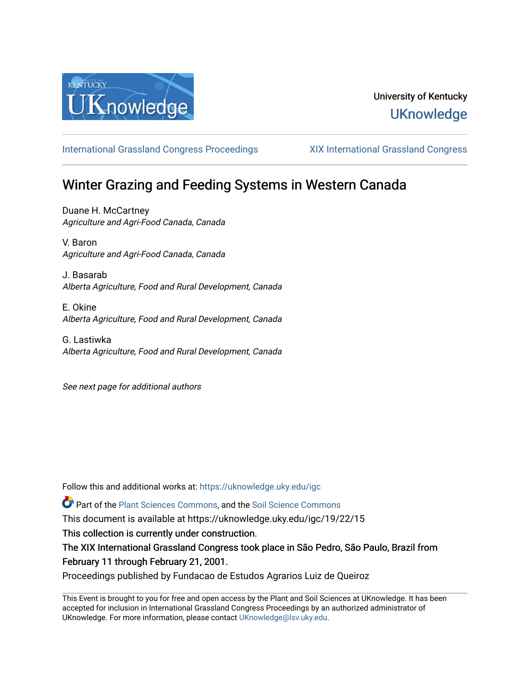

# University of Kentucky **UKnowledge**

[International Grassland Congress Proceedings](https://uknowledge.uky.edu/igc) [XIX International Grassland Congress](https://uknowledge.uky.edu/igc/19) 

# Winter Grazing and Feeding Systems in Western Canada

Duane H. McCartney Agriculture and Agri-Food Canada, Canada

V. Baron Agriculture and Agri-Food Canada, Canada

J. Basarab Alberta Agriculture, Food and Rural Development, Canada

E. Okine Alberta Agriculture, Food and Rural Development, Canada

G. Lastiwka Alberta Agriculture, Food and Rural Development, Canada

See next page for additional authors

Follow this and additional works at: [https://uknowledge.uky.edu/igc](https://uknowledge.uky.edu/igc?utm_source=uknowledge.uky.edu%2Figc%2F19%2F22%2F15&utm_medium=PDF&utm_campaign=PDFCoverPages) 

Part of the [Plant Sciences Commons](http://network.bepress.com/hgg/discipline/102?utm_source=uknowledge.uky.edu%2Figc%2F19%2F22%2F15&utm_medium=PDF&utm_campaign=PDFCoverPages), and the [Soil Science Commons](http://network.bepress.com/hgg/discipline/163?utm_source=uknowledge.uky.edu%2Figc%2F19%2F22%2F15&utm_medium=PDF&utm_campaign=PDFCoverPages) 

This document is available at https://uknowledge.uky.edu/igc/19/22/15

This collection is currently under construction.

The XIX International Grassland Congress took place in São Pedro, São Paulo, Brazil from February 11 through February 21, 2001.

Proceedings published by Fundacao de Estudos Agrarios Luiz de Queiroz

This Event is brought to you for free and open access by the Plant and Soil Sciences at UKnowledge. It has been accepted for inclusion in International Grassland Congress Proceedings by an authorized administrator of UKnowledge. For more information, please contact [UKnowledge@lsv.uky.edu](mailto:UKnowledge@lsv.uky.edu).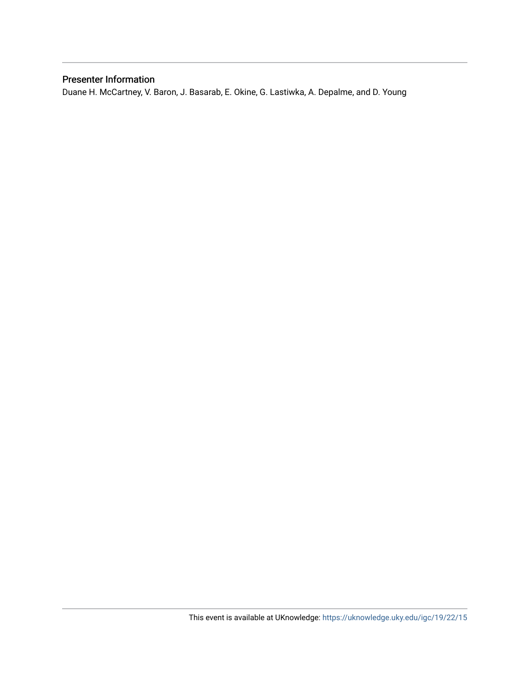### Presenter Information

Duane H. McCartney, V. Baron, J. Basarab, E. Okine, G. Lastiwka, A. Depalme, and D. Young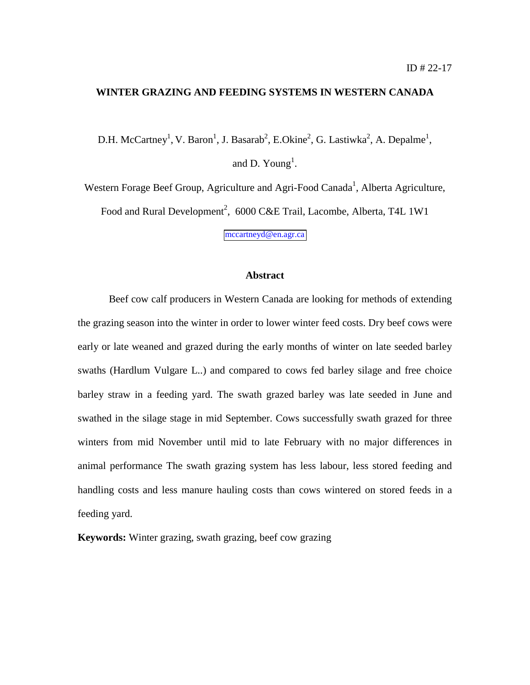#### **WINTER GRAZING AND FEEDING SYSTEMS IN WESTERN CANADA**

D.H. McCartney<sup>1</sup>, V. Baron<sup>1</sup>, J. Basarab<sup>2</sup>, E.Okine<sup>2</sup>, G. Lastiwka<sup>2</sup>, A. Depalme<sup>1</sup>, and D. Young<sup>1</sup>.

Western Forage Beef Group, Agriculture and Agri-Food Canada<sup>1</sup>, Alberta Agriculture, Food and Rural Development<sup>2</sup>, 6000 C&E Trail, Lacombe, Alberta, T4L 1W1

[mccartneyd@en.agr.ca](mailto:mccartneyd@en.agr.ca)

#### **Abstract**

Beef cow calf producers in Western Canada are looking for methods of extending the grazing season into the winter in order to lower winter feed costs. Dry beef cows were early or late weaned and grazed during the early months of winter on late seeded barley swaths (Hardlum Vulgare L..) and compared to cows fed barley silage and free choice barley straw in a feeding yard. The swath grazed barley was late seeded in June and swathed in the silage stage in mid September. Cows successfully swath grazed for three winters from mid November until mid to late February with no major differences in animal performance The swath grazing system has less labour, less stored feeding and handling costs and less manure hauling costs than cows wintered on stored feeds in a feeding yard.

**Keywords:** Winter grazing, swath grazing, beef cow grazing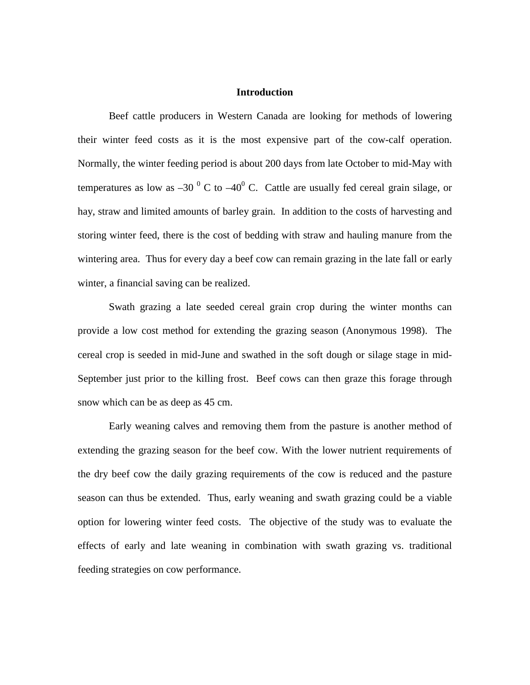#### **Introduction**

Beef cattle producers in Western Canada are looking for methods of lowering their winter feed costs as it is the most expensive part of the cow-calf operation. Normally, the winter feeding period is about 200 days from late October to mid-May with temperatures as low as  $-30^{-0}$  C to  $-40^{0}$  C. Cattle are usually fed cereal grain silage, or hay, straw and limited amounts of barley grain. In addition to the costs of harvesting and storing winter feed, there is the cost of bedding with straw and hauling manure from the wintering area. Thus for every day a beef cow can remain grazing in the late fall or early winter, a financial saving can be realized.

Swath grazing a late seeded cereal grain crop during the winter months can provide a low cost method for extending the grazing season (Anonymous 1998). The cereal crop is seeded in mid-June and swathed in the soft dough or silage stage in mid-September just prior to the killing frost. Beef cows can then graze this forage through snow which can be as deep as 45 cm.

Early weaning calves and removing them from the pasture is another method of extending the grazing season for the beef cow. With the lower nutrient requirements of the dry beef cow the daily grazing requirements of the cow is reduced and the pasture season can thus be extended. Thus, early weaning and swath grazing could be a viable option for lowering winter feed costs. The objective of the study was to evaluate the effects of early and late weaning in combination with swath grazing vs. traditional feeding strategies on cow performance.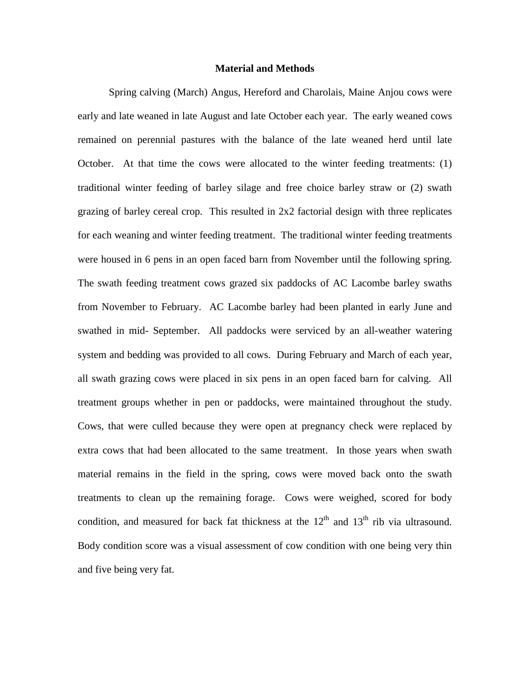#### **Material and Methods**

Spring calving (March) Angus, Hereford and Charolais, Maine Anjou cows were early and late weaned in late August and late October each year. The early weaned cows remained on perennial pastures with the balance of the late weaned herd until late October. At that time the cows were allocated to the winter feeding treatments: (1) traditional winter feeding of barley silage and free choice barley straw or (2) swath grazing of barley cereal crop. This resulted in 2x2 factorial design with three replicates for each weaning and winter feeding treatment. The traditional winter feeding treatments were housed in 6 pens in an open faced barn from November until the following spring. The swath feeding treatment cows grazed six paddocks of AC Lacombe barley swaths from November to February. AC Lacombe barley had been planted in early June and swathed in mid- September. All paddocks were serviced by an all-weather watering system and bedding was provided to all cows. During February and March of each year, all swath grazing cows were placed in six pens in an open faced barn for calving. All treatment groups whether in pen or paddocks, were maintained throughout the study. Cows, that were culled because they were open at pregnancy check were replaced by extra cows that had been allocated to the same treatment. In those years when swath material remains in the field in the spring, cows were moved back onto the swath treatments to clean up the remaining forage. Cows were weighed, scored for body condition, and measured for back fat thickness at the  $12<sup>th</sup>$  and  $13<sup>th</sup>$  rib via ultrasound. Body condition score was a visual assessment of cow condition with one being very thin and five being very fat.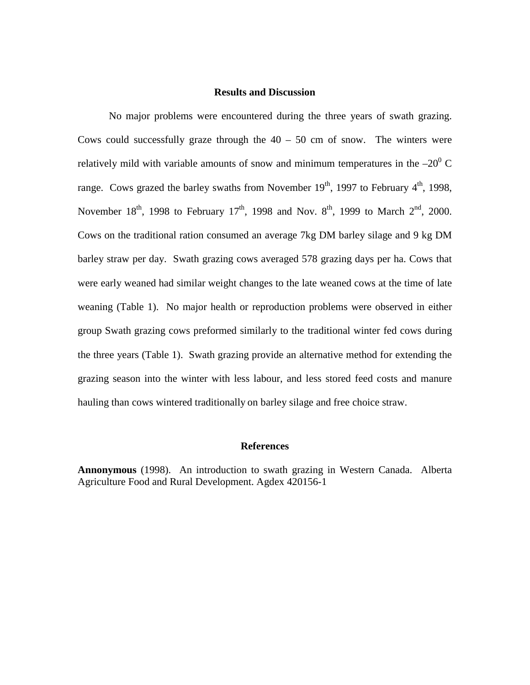#### **Results and Discussion**

No major problems were encountered during the three years of swath grazing. Cows could successfully graze through the  $40 - 50$  cm of snow. The winters were relatively mild with variable amounts of snow and minimum temperatures in the  $-20^0$  C range. Cows grazed the barley swaths from November  $19<sup>th</sup>$ , 1997 to February  $4<sup>th</sup>$ , 1998, November  $18^{th}$ , 1998 to February  $17^{th}$ , 1998 and Nov.  $8^{th}$ , 1999 to March  $2^{nd}$ , 2000. Cows on the traditional ration consumed an average 7kg DM barley silage and 9 kg DM barley straw per day. Swath grazing cows averaged 578 grazing days per ha. Cows that were early weaned had similar weight changes to the late weaned cows at the time of late weaning (Table 1). No major health or reproduction problems were observed in either group Swath grazing cows preformed similarly to the traditional winter fed cows during the three years (Table 1). Swath grazing provide an alternative method for extending the grazing season into the winter with less labour, and less stored feed costs and manure hauling than cows wintered traditionally on barley silage and free choice straw.

#### **References**

**Annonymous** (1998). An introduction to swath grazing in Western Canada. Alberta Agriculture Food and Rural Development. Agdex 420156-1